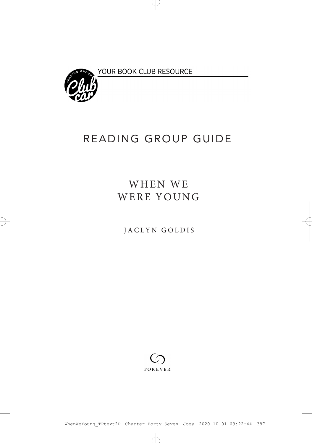YOUR BOOK CLUB RESOURCE



## READING GROUP GUIDE

## WHEN WE WERE YOUNG

JACLYN GOLDIS

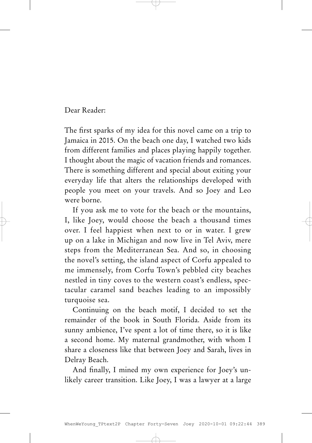Dear Reader:

The first sparks of my idea for this novel came on a trip to Jamaica in 2015. On the beach one day, I watched two kids from different families and places playing happily together. I thought about the magic of vacation friends and romances. There is something different and special about exiting your everyday life that alters the relationships developed with people you meet on your travels. And so Joey and Leo were borne.

If you ask me to vote for the beach or the mountains, I, like Joey, would choose the beach a thousand times over. I feel happiest when next to or in water. I grew up on a lake in Michigan and now live in Tel Aviv, mere steps from the Mediterranean Sea. And so, in choosing the novel's setting, the island aspect of Corfu appealed to me immensely, from Corfu Town's pebbled city beaches nestled in tiny coves to the western coast's endless, spectacular caramel sand beaches leading to an impossibly turquoise sea.

Continuing on the beach motif, I decided to set the remainder of the book in South Florida. Aside from its sunny ambience, I've spent a lot of time there, so it is like a second home. My maternal grandmother, with whom I share a closeness like that between Joey and Sarah, lives in Delray Beach.

And finally, I mined my own experience for Joey's unlikely career transition. Like Joey, I was a lawyer at a large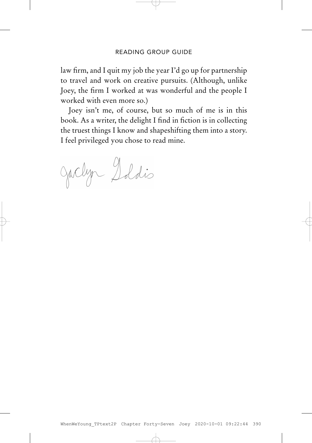law firm, and I quit my job the year I'd go up for partnership to travel and work on creative pursuits. (Although, unlike Joey, the firm I worked at was wonderful and the people I worked with even more so.)

Joey isn't me, of course, but so much of me is in this book. As a writer, the delight I find in fiction is in collecting the truest things I know and shapeshifting them into a story. I feel privileged you chose to read mine.

Jaclyn Soldis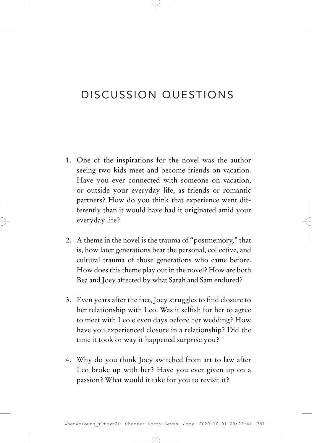## DISCUSSION QUESTIONS

- 1. One of the inspirations for the novel was the author seeing two kids meet and become friends on vacation. Have you ever connected with someone on vacation, or outside your everyday life, as friends or romantic partners? How do you think that experience went differently than it would have had it originated amid your everyday life?
- 2. A theme in the novel is the trauma of "postmemory," that is, how later generations bear the personal, collective, and cultural trauma of those generations who came before. How does this theme play out in the novel? How are both Bea and Joey affected by what Sarah and Sam endured?
- 3. Even years after the fact, Joey struggles to find closure to her relationship with Leo. Was it selfish for her to agree to meet with Leo eleven days before her wedding? How have you experienced closure in a relationship? Did the time it took or way it happened surprise you?
- 4. Why do you think Joey switched from art to law after Leo broke up with her? Have you ever given up on a passion? What would it take for you to revisit it?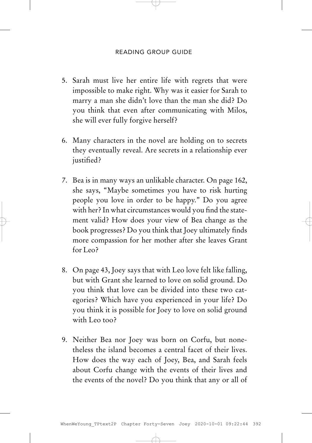- 5. Sarah must live her entire life with regrets that were impossible to make right. Why was it easier for Sarah to marry a man she didn't love than the man she did? Do you think that even after communicating with Milos, she will ever fully forgive herself?
- 6. Many characters in the novel are holding on to secrets they eventually reveal. Are secrets in a relationship ever justified?
- 7. Bea is in many ways an unlikable character. On page 162, she says, "Maybe sometimes you have to risk hurting people you love in order to be happy." Do you agree with her? In what circumstances would you find the statement valid? How does your view of Bea change as the book progresses? Do you think that Joey ultimately finds more compassion for her mother after she leaves Grant for Leo?
- 8. On page 43, Joey says that with Leo love felt like falling, but with Grant she learned to love on solid ground. Do you think that love can be divided into these two categories? Which have you experienced in your life? Do you think it is possible for Joey to love on solid ground with Leo too?
- 9. Neither Bea nor Joey was born on Corfu, but nonetheless the island becomes a central facet of their lives. How does the way each of Joey, Bea, and Sarah feels about Corfu change with the events of their lives and the events of the novel? Do you think that any or all of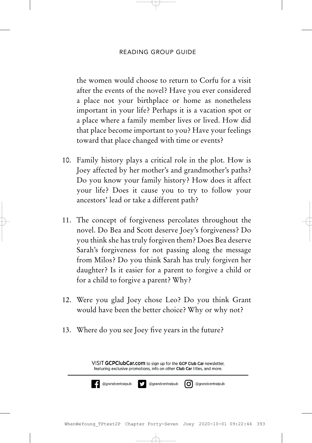the women would choose to return to Corfu for a visit after the events of the novel? Have you ever considered a place not your birthplace or home as nonetheless important in your life? Perhaps it is a vacation spot or a place where a family member lives or lived. How did that place become important to you? Have your feelings toward that place changed with time or events?

- 10. Family history plays a critical role in the plot. How is Joey affected by her mother's and grandmother's paths? Do you know your family history? How does it affect your life? Does it cause you to try to follow your ancestors' lead or take a different path?
- 11. The concept of forgiveness percolates throughout the novel. Do Bea and Scott deserve Joey's forgiveness? Do you think she has truly forgiven them? Does Bea deserve Sarah's forgiveness for not passing along the message from Milos? Do you think Sarah has truly forgiven her daughter? Is it easier for a parent to forgive a child or for a child to forgive a parent? Why?
- 12. Were you glad Joey chose Leo? Do you think Grant would have been the better choice? Why or why not?
- 13. Where do you see Joey five years in the future?

VISIT GCPClubCar.com to sign up for the GCP Club Car newsletter. featuring exclusive promotions, info on other Club Car titles, and more.

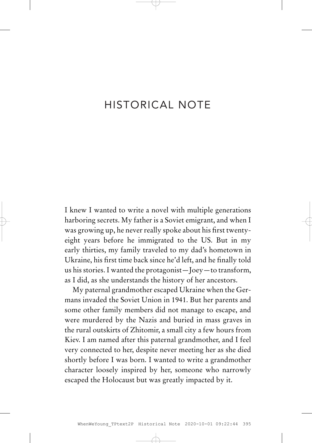## HISTORICAL NOTE

I knew I wanted to write a novel with multiple generations harboring secrets. My father is a Soviet emigrant, and when I was growing up, he never really spoke about his first twentyeight years before he immigrated to the US. But in my early thirties, my family traveled to my dad's hometown in Ukraine, his first time back since he'd left, and he finally told us his stories. I wanted the protagonist—Joey—to transform, as I did, as she understands the history of her ancestors.

My paternal grandmother escaped Ukraine when the Germans invaded the Soviet Union in 1941. But her parents and some other family members did not manage to escape, and were murdered by the Nazis and buried in mass graves in the rural outskirts of Zhitomir, a small city a few hours from Kiev. I am named after this paternal grandmother, and I feel very connected to her, despite never meeting her as she died shortly before I was born. I wanted to write a grandmother character loosely inspired by her, someone who narrowly escaped the Holocaust but was greatly impacted by it.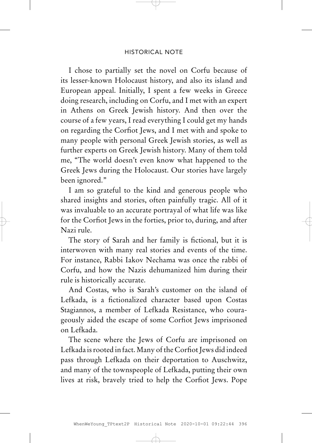I chose to partially set the novel on Corfu because of its lesser-known Holocaust history, and also its island and European appeal. Initially, I spent a few weeks in Greece doing research, including on Corfu, and I met with an expert in Athens on Greek Jewish history. And then over the course of a few years, I read everything I could get my hands on regarding the Corfiot Jews, and I met with and spoke to many people with personal Greek Jewish stories, as well as further experts on Greek Jewish history. Many of them told me, "The world doesn't even know what happened to the Greek Jews during the Holocaust. Our stories have largely been ignored."

I am so grateful to the kind and generous people who shared insights and stories, often painfully tragic. All of it was invaluable to an accurate portrayal of what life was like for the Corfiot Jews in the forties, prior to, during, and after Nazi rule.

The story of Sarah and her family is fictional, but it is interwoven with many real stories and events of the time. For instance, Rabbi Iakov Nechama was once the rabbi of Corfu, and how the Nazis dehumanized him during their rule is historically accurate.

And Costas, who is Sarah's customer on the island of Lefkada, is a fictionalized character based upon Costas Stagiannos, a member of Lefkada Resistance, who courageously aided the escape of some Corfiot Jews imprisoned on Lefkada.

The scene where the Jews of Corfu are imprisoned on Lefkada is rooted in fact. Many of the Corfiot Jews did indeed pass through Lefkada on their deportation to Auschwitz, and many of the townspeople of Lefkada, putting their own lives at risk, bravely tried to help the Corfiot Jews. Pope